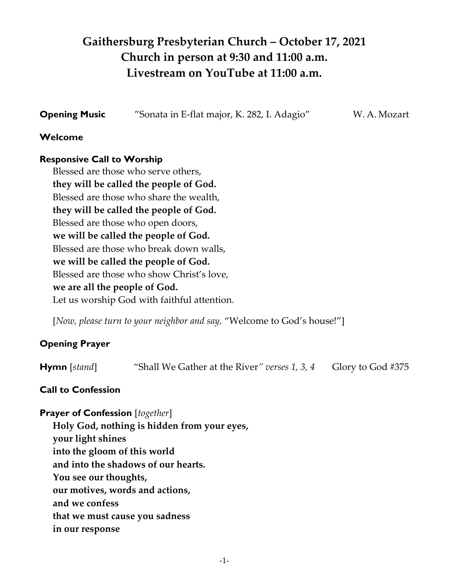# **Gaithersburg Presbyterian Church – October 17, 2021 Church in person at 9:30 and 11:00 a.m. Livestream on YouTube at 11:00 a.m.**

**Opening Music** "Sonata in E-flat major, K. 282, I. Adagio" W. A. Mozart

# **Welcome**

# **Responsive Call to Worship**

Blessed are those who serve others, **they will be called the people of God.** Blessed are those who share the wealth, **they will be called the people of God.** Blessed are those who open doors, **we will be called the people of God.** Blessed are those who break down walls, **we will be called the people of God.** Blessed are those who show Christ's love, **we are all the people of God.** Let us worship God with faithful attention.

[Now, please turn to your neighbor and say, "Welcome to God's house!"]

# **Opening Prayer**

**Hymn** [*stand*] "Shall We Gather at the River*" verses 1, 3, 4* Glory to God #375

# **Call to Confession**

# **Prayer of Confession** [*together*]

**Holy God, nothing is hidden from your eyes, your light shines into the gloom of this world and into the shadows of our hearts. You see our thoughts, our motives, words and actions, and we confess that we must cause you sadness in our response**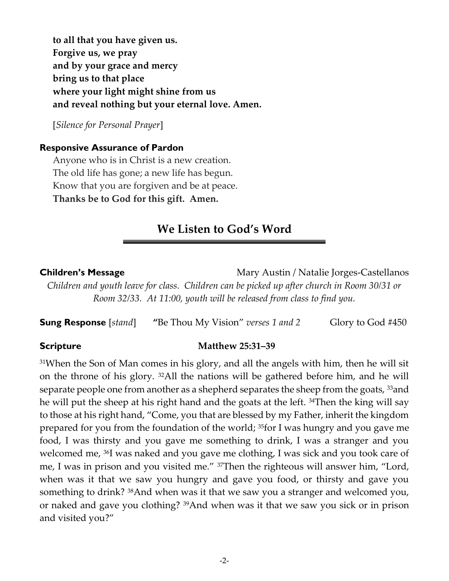**to all that you have given us. Forgive us, we pray and by your grace and mercy bring us to that place where your light might shine from us and reveal nothing but your eternal love. Amen.**

[*Silence for Personal Prayer*]

#### **Responsive Assurance of Pardon**

Anyone who is in Christ is a new creation. The old life has gone; a new life has begun. Know that you are forgiven and be at peace. **Thanks be to God for this gift. Amen.** 

# **We Listen to God's Word**

#### **Children's Message** Mary Austin / Natalie Jorges-Castellanos

*Children and youth leave for class. Children can be picked up after church in Room 30/31 or Room 32/33. At 11:00, youth will be released from class to find you.* 

**Sung Response** [*stand*] "Be Thou My Vision" *verses* 1 and 2 Glory to God #450

#### **Scripture Matthew 25:31–39**

 $31$ When the Son of Man comes in his glory, and all the angels with him, then he will sit on the throne of his glory. 32All the nations will be gathered before him, and he will separate people one from another as a shepherd separates the sheep from the goats, <sup>33</sup>and he will put the sheep at his right hand and the goats at the left. <sup>34</sup>Then the king will say to those at his right hand, "Come, you that are blessed by my Father, inherit the kingdom prepared for you from the foundation of the world; 35for I was hungry and you gave me food, I was thirsty and you gave me something to drink, I was a stranger and you welcomed me, 36I was naked and you gave me clothing, I was sick and you took care of me, I was in prison and you visited me." 37Then the righteous will answer him, "Lord, when was it that we saw you hungry and gave you food, or thirsty and gave you something to drink? 38And when was it that we saw you a stranger and welcomed you, or naked and gave you clothing? 39And when was it that we saw you sick or in prison and visited you?"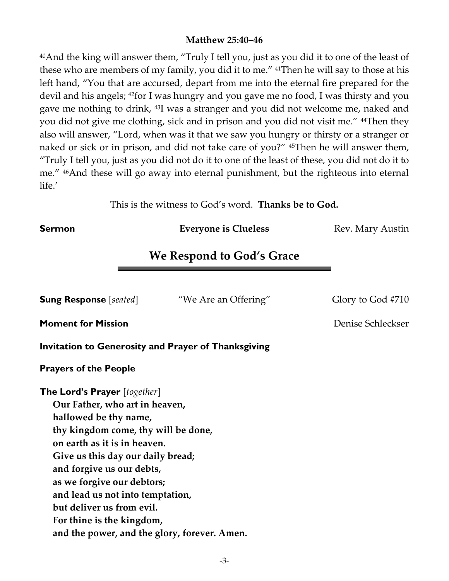# **Matthew 25:40–46**

<sup>40</sup>And the king will answer them, "Truly I tell you, just as you did it to one of the least of these who are members of my family, you did it to me." 41Then he will say to those at his left hand, "You that are accursed, depart from me into the eternal fire prepared for the devil and his angels; <sup>42</sup>for I was hungry and you gave me no food, I was thirsty and you gave me nothing to drink, 43I was a stranger and you did not welcome me, naked and you did not give me clothing, sick and in prison and you did not visit me." 44Then they also will answer, "Lord, when was it that we saw you hungry or thirsty or a stranger or naked or sick or in prison, and did not take care of you?" <sup>45</sup>Then he will answer them, "Truly I tell you, just as you did not do it to one of the least of these, you did not do it to me." 46And these will go away into eternal punishment, but the righteous into eternal life.'

This is the witness to God's word. **Thanks be to God.**

**Sermon Everyone is Clueless Rev. Mary Austin CLUELES** 

# **We Respond to God's Grace**

**Sung Response** [*seated*] "We Are an Offering" Glory to God #710

**Moment for Mission Denise Schleckser** 

**Invitation to Generosity and Prayer of Thanksgiving**

# **Prayers of the People**

**The Lord's Prayer** [*together*] **Our Father, who art in heaven, hallowed be thy name, thy kingdom come, thy will be done, on earth as it is in heaven. Give us this day our daily bread; and forgive us our debts, as we forgive our debtors; and lead us not into temptation, but deliver us from evil. For thine is the kingdom, and the power, and the glory, forever. Amen.**